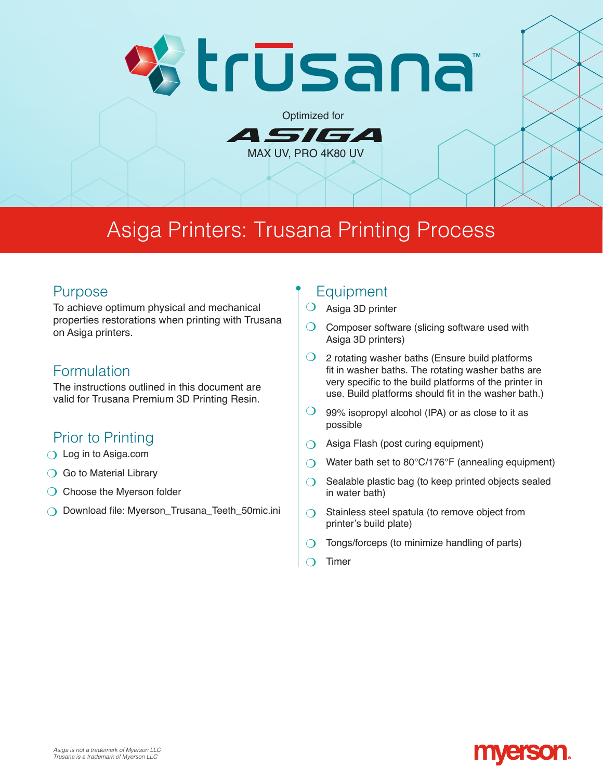# ≷trūsana

Optimized for

MAX UV, PRO 4K80 UV

4 *51 61* 

## Asiga Printers: Trusana Printing Process

#### Purpose

To achieve optimum physical and mechanical properties restorations when printing with Trusana on Asiga printers.

#### Formulation

The instructions outlined in this document are valid for Trusana Premium 3D Printing Resin.

### Prior to Printing

- $\bigcirc$  Log in to Asiga.com
- ◯ Go to Material Library
- $\bigcirc$  Choose the Myerson folder
- ◯ Download file: Myerson\_Trusana\_Teeth\_50mic.ini

#### **Equipment**

- $O$  Asiga 3D printer
- $\bigcirc$  Composer software (slicing software used with Asiga 3D printers)
- $\bigcirc$  2 rotating washer baths (Ensure build platforms fit in washer baths. The rotating washer baths are very specific to the build platforms of the printer in use. Build platforms should fit in the washer bath.)
- 99% isopropyl alcohol (IPA) or as close to it as possible  $\overline{O}$
- Asiga Flash (post curing equipment) m
- Water bath set to 80°C/176°F (annealing equipment)  $\Omega$
- Sealable plastic bag (to keep printed objects sealed in water bath)  $\Omega$
- Stainless steel spatula (to remove object from printer's build plate)  $\Omega$
- Tongs/forceps (to minimize handling of parts)  $\Omega$
- Timer  $\Omega$